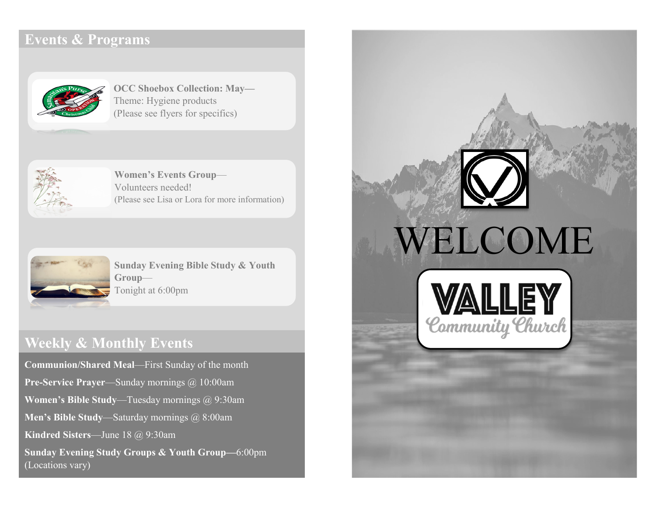# **Events & Programs**



**OCC Shoebox Collection: May—** Theme: Hygiene products (Please see flyers for specifics)



**Women's Events Group**— Volunteers needed! (Please see Lisa or Lora for more information)



**Sunday Evening Bible Study & Youth Group**— Tonight at 6:00pm

# **Weekly & Monthly Events**

**Communion/Shared Meal**—First Sunday of the month **Pre-Service Prayer**—Sunday mornings @ 10:00am **Women's Bible Study**—Tuesday mornings @ 9:30am **Men's Bible Study**—Saturday mornings @ 8:00am **Kindred Sisters**—June 18 @ 9:30am **Sunday Evening Study Groups & Youth Group—**6:00pm (Locations vary)